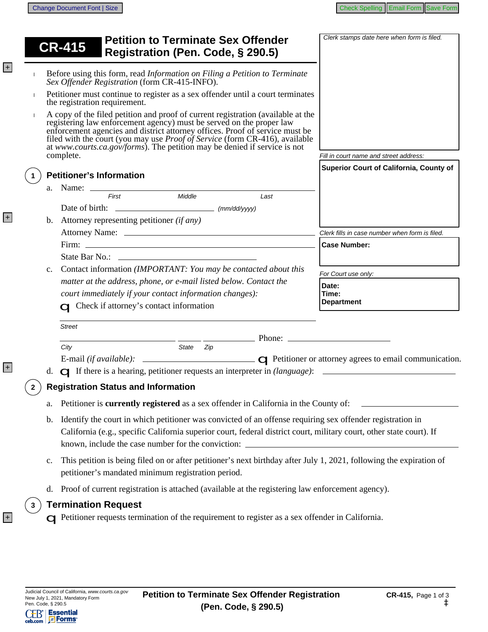|   |                                                                                                                                                                                                                                                                                                                              | <b>Petition to Terminate Sex Offender</b><br><b>CR-415</b><br>Registration (Pen. Code, § 290.5)                                                                                                                                                                                                                                                                                                                  | Clerk stamps date here when form is filed.     |
|---|------------------------------------------------------------------------------------------------------------------------------------------------------------------------------------------------------------------------------------------------------------------------------------------------------------------------------|------------------------------------------------------------------------------------------------------------------------------------------------------------------------------------------------------------------------------------------------------------------------------------------------------------------------------------------------------------------------------------------------------------------|------------------------------------------------|
|   |                                                                                                                                                                                                                                                                                                                              | Before using this form, read Information on Filing a Petition to Terminate<br>Sex Offender Registration (form CR-415-INFO).                                                                                                                                                                                                                                                                                      |                                                |
|   | Petitioner must continue to register as a sex offender until a court terminates<br>the registration requirement.                                                                                                                                                                                                             |                                                                                                                                                                                                                                                                                                                                                                                                                  |                                                |
|   |                                                                                                                                                                                                                                                                                                                              | A copy of the filed petition and proof of current registration (available at the<br>registering law enforcement agency) must be served on the proper law<br>enforcement agencies and district attorney offices. Proof of service must be<br>filed with the court (you may use <i>Proof of Service</i> (form CR-416), available at <i>www.courts.ca.gov/forms</i> ). The petition may be denied if service is not |                                                |
|   |                                                                                                                                                                                                                                                                                                                              | complete.                                                                                                                                                                                                                                                                                                                                                                                                        | Fill in court name and street address:         |
|   |                                                                                                                                                                                                                                                                                                                              | <b>Petitioner's Information</b>                                                                                                                                                                                                                                                                                                                                                                                  | Superior Court of California, County of        |
|   |                                                                                                                                                                                                                                                                                                                              |                                                                                                                                                                                                                                                                                                                                                                                                                  |                                                |
|   |                                                                                                                                                                                                                                                                                                                              | First<br>Middle<br>Last                                                                                                                                                                                                                                                                                                                                                                                          |                                                |
|   |                                                                                                                                                                                                                                                                                                                              |                                                                                                                                                                                                                                                                                                                                                                                                                  |                                                |
|   | $b_{1}$                                                                                                                                                                                                                                                                                                                      | Attorney representing petitioner (if any)                                                                                                                                                                                                                                                                                                                                                                        |                                                |
|   |                                                                                                                                                                                                                                                                                                                              |                                                                                                                                                                                                                                                                                                                                                                                                                  | Clerk fills in case number when form is filed. |
|   |                                                                                                                                                                                                                                                                                                                              |                                                                                                                                                                                                                                                                                                                                                                                                                  | <b>Case Number:</b>                            |
|   |                                                                                                                                                                                                                                                                                                                              |                                                                                                                                                                                                                                                                                                                                                                                                                  |                                                |
|   | $\mathbf{c}$ .                                                                                                                                                                                                                                                                                                               | Contact information (IMPORTANT: You may be contacted about this                                                                                                                                                                                                                                                                                                                                                  | For Court use only:                            |
|   |                                                                                                                                                                                                                                                                                                                              | matter at the address, phone, or e-mail listed below. Contact the                                                                                                                                                                                                                                                                                                                                                | Date:                                          |
|   |                                                                                                                                                                                                                                                                                                                              | court immediately if your contact information changes):                                                                                                                                                                                                                                                                                                                                                          | Time:                                          |
|   |                                                                                                                                                                                                                                                                                                                              | <b>C</b> Check if attorney's contact information                                                                                                                                                                                                                                                                                                                                                                 | <b>Department</b>                              |
|   |                                                                                                                                                                                                                                                                                                                              | <b>Street</b>                                                                                                                                                                                                                                                                                                                                                                                                    |                                                |
|   |                                                                                                                                                                                                                                                                                                                              |                                                                                                                                                                                                                                                                                                                                                                                                                  |                                                |
|   |                                                                                                                                                                                                                                                                                                                              | City<br>State<br>Zip                                                                                                                                                                                                                                                                                                                                                                                             |                                                |
|   |                                                                                                                                                                                                                                                                                                                              | E-mail (if available): $\qquad \qquad \qquad \qquad \qquad \qquad \qquad \qquad \qquad \qquad$ Petitioner or attorney agrees to email communication.                                                                                                                                                                                                                                                             |                                                |
|   |                                                                                                                                                                                                                                                                                                                              |                                                                                                                                                                                                                                                                                                                                                                                                                  |                                                |
|   |                                                                                                                                                                                                                                                                                                                              | <b>Registration Status and Information</b>                                                                                                                                                                                                                                                                                                                                                                       |                                                |
|   | Petitioner is currently registered as a sex offender in California in the County of:<br>a.                                                                                                                                                                                                                                   |                                                                                                                                                                                                                                                                                                                                                                                                                  |                                                |
|   | Identify the court in which petitioner was convicted of an offense requiring sex offender registration in<br>b.<br>California (e.g., specific California superior court, federal district court, military court, other state court). If<br>known, include the case number for the conviction: ______________________________ |                                                                                                                                                                                                                                                                                                                                                                                                                  |                                                |
|   | This petition is being filed on or after petitioner's next birthday after July 1, 2021, following the expiration of<br>c.<br>petitioner's mandated minimum registration period.                                                                                                                                              |                                                                                                                                                                                                                                                                                                                                                                                                                  |                                                |
|   | Proof of current registration is attached (available at the registering law enforcement agency).<br>d.                                                                                                                                                                                                                       |                                                                                                                                                                                                                                                                                                                                                                                                                  |                                                |
| 3 |                                                                                                                                                                                                                                                                                                                              | <b>Termination Request</b>                                                                                                                                                                                                                                                                                                                                                                                       |                                                |
|   |                                                                                                                                                                                                                                                                                                                              | $\Box$ Petitioner requests termination of the requirement to register as a sex offender in California.                                                                                                                                                                                                                                                                                                           |                                                |
|   |                                                                                                                                                                                                                                                                                                                              |                                                                                                                                                                                                                                                                                                                                                                                                                  |                                                |
|   |                                                                                                                                                                                                                                                                                                                              |                                                                                                                                                                                                                                                                                                                                                                                                                  |                                                |

+

+

+

+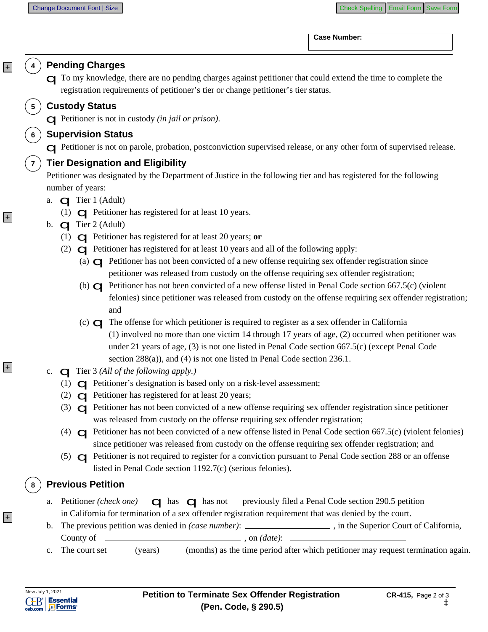**Case Number:** 

|       |                                | <b>Pending Charges</b><br>To my knowledge, there are no pending charges against petitioner that could extend the time to complete the<br>registration requirements of petitioner's tier or change petitioner's tier status. |  |  |
|-------|--------------------------------|-----------------------------------------------------------------------------------------------------------------------------------------------------------------------------------------------------------------------------|--|--|
|       | 5 <sub>5</sub>                 | <b>Custody Status</b>                                                                                                                                                                                                       |  |  |
|       |                                | $\Box$ Petitioner is not in custody (in jail or prison).                                                                                                                                                                    |  |  |
|       | <b>Supervision Status</b><br>6 |                                                                                                                                                                                                                             |  |  |
|       |                                | G Petitioner is not on parole, probation, postconviction supervised release, or any other form of supervised release.                                                                                                       |  |  |
|       | $\overline{7}$                 | <b>Tier Designation and Eligibility</b>                                                                                                                                                                                     |  |  |
|       |                                | Petitioner was designated by the Department of Justice in the following tier and has registered for the following                                                                                                           |  |  |
| $ + $ |                                | number of years:                                                                                                                                                                                                            |  |  |
|       |                                | $\Box$ Tier 1 (Adult)<br>a.                                                                                                                                                                                                 |  |  |
|       |                                | (1) $\Box$ Petitioner has registered for at least 10 years.<br>b. $\Box$ Tier 2 (Adult)                                                                                                                                     |  |  |
|       |                                | (1) $\Box$ Petitioner has registered for at least 20 years; or                                                                                                                                                              |  |  |
|       |                                | $\Box$ Petitioner has registered for at least 10 years and all of the following apply:<br>(2)                                                                                                                               |  |  |
|       |                                | (a) $\bigcirc$ Petitioner has not been convicted of a new offense requiring sex offender registration since                                                                                                                 |  |  |
|       |                                | petitioner was released from custody on the offense requiring sex offender registration;                                                                                                                                    |  |  |
|       |                                | (b) $\Box$ Petitioner has not been convicted of a new offense listed in Penal Code section 667.5(c) (violent                                                                                                                |  |  |
|       |                                | felonies) since petitioner was released from custody on the offense requiring sex offender registration;                                                                                                                    |  |  |
|       |                                | and                                                                                                                                                                                                                         |  |  |
|       |                                | (c) $\Box$ The offense for which petitioner is required to register as a sex offender in California                                                                                                                         |  |  |
|       |                                | $(1)$ involved no more than one victim 14 through 17 years of age, $(2)$ occurred when petitioner was<br>under 21 years of age, (3) is not one listed in Penal Code section 667.5(c) (except Penal Code                     |  |  |
|       |                                | section $288(a)$ , and (4) is not one listed in Penal Code section 236.1.                                                                                                                                                   |  |  |
| $ + $ |                                | c. $\Box$ Tier 3 (All of the following apply.)                                                                                                                                                                              |  |  |
|       |                                | (1) $\Box$ Petitioner's designation is based only on a risk-level assessment;                                                                                                                                               |  |  |
|       |                                | (2) $\bigcirc$ Petitioner has registered for at least 20 years;                                                                                                                                                             |  |  |
|       |                                | (3) $\Box$ Petitioner has not been convicted of a new offense requiring sex offender registration since petitioner                                                                                                          |  |  |
|       |                                | was released from custody on the offense requiring sex offender registration;                                                                                                                                               |  |  |
|       |                                | (4) $\Box$ Petitioner has not been convicted of a new offense listed in Penal Code section 667.5(c) (violent felonies)                                                                                                      |  |  |
|       |                                | since petitioner was released from custody on the offense requiring sex offender registration; and                                                                                                                          |  |  |
|       |                                | (5) $\Box$ Petitioner is not required to register for a conviction pursuant to Penal Code section 288 or an offense<br>listed in Penal Code section 1192.7(c) (serious felonies).                                           |  |  |
|       |                                |                                                                                                                                                                                                                             |  |  |
|       | 8                              | <b>Previous Petition</b>                                                                                                                                                                                                    |  |  |
|       |                                | a. Petitioner (check one) $\Box$ has $\Box$ has not previously filed a Penal Code section 290.5 petition                                                                                                                    |  |  |
| $ + $ |                                | in California for termination of a sex offender registration requirement that was denied by the court.                                                                                                                      |  |  |
|       |                                | The previous petition was denied in (case number): ______________________________, in the Superior Court of California,<br>b.<br>County of $\qquad \qquad$ , on $(date)$ :                                                  |  |  |
|       |                                |                                                                                                                                                                                                                             |  |  |
|       |                                |                                                                                                                                                                                                                             |  |  |
|       |                                |                                                                                                                                                                                                                             |  |  |
|       |                                | c. The court set _____ (years) _____ (months) as the time period after which petitioner may request termination again.                                                                                                      |  |  |